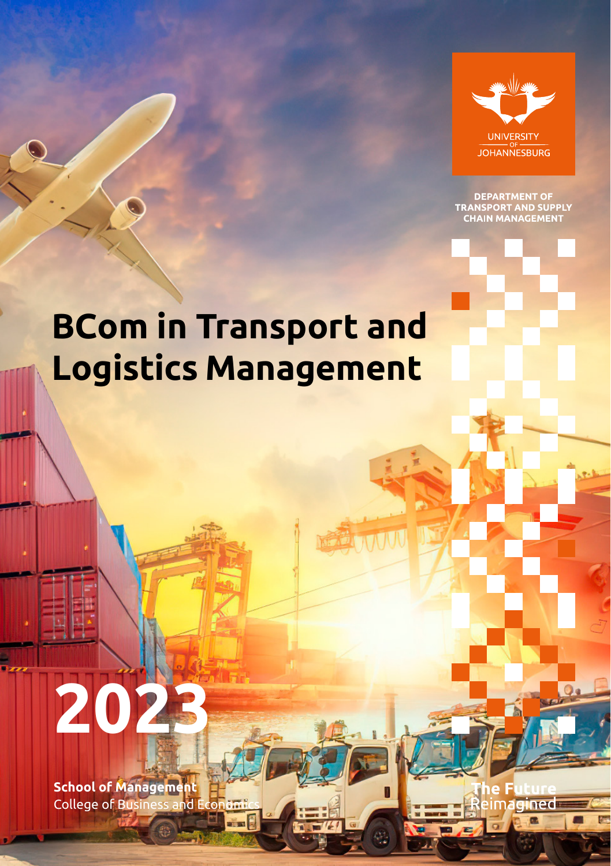

**DEPARTMENT OF<br>TRANSPORT AND SUPPLY<br>CHAIN MANAGEMENT** 

# **BCom in Transport and Logistics Management**

itima.

# **2023**

**School of Management** College of Business and Economi

ined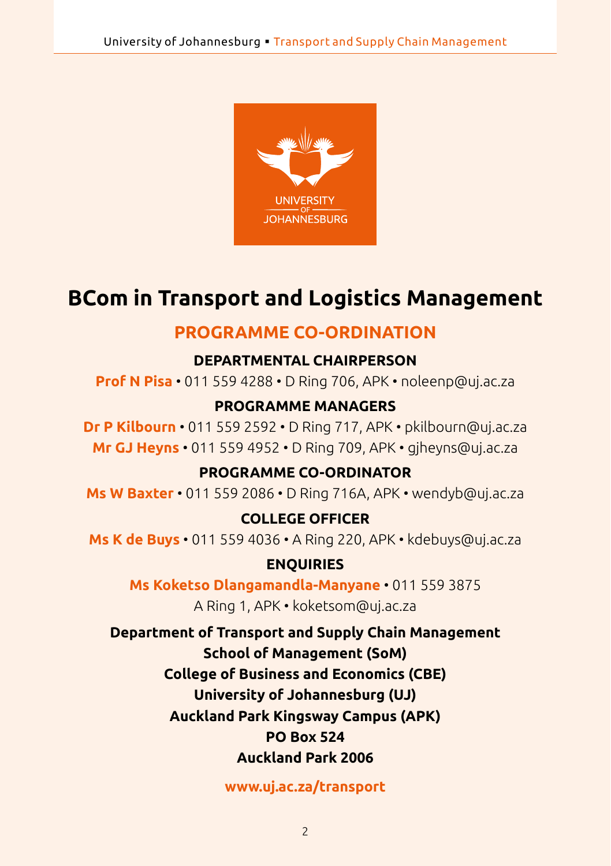

# **BCom in Transport and Logistics Management**

# **PROGRAMME CO-ORDINATION**

#### **DEPARTMENTAL CHAIRPERSON**

**Prof N Pisa** • 011 559 4288 • D Ring 706, APK • [noleenp@uj.ac.za](mailto:noleenp@uj.ac.za)

#### **PROGRAMME MANAGERS**

**Dr P Kilbourn** • 011 559 2592 • D Ring 717, APK • [pkilbourn@uj.ac.za](mailto:pkilbourn@uj.ac.za) **Mr GJ Heyns** • 011 559 4952 • D Ring 709, APK • [gjheyns@uj.ac.za](mailto:gjheyns@uj.ac.za)

#### **PROGRAMME CO-ORDINATOR**

**Ms W Baxter** • 011 559 2086 • D Ring 716A, APK • [wendyb@uj.ac.za](mailto:wendyb@uj.ac.za)

#### **COLLEGE OFFICER**

**Ms K de Buys** • 011 559 4036 • A Ring 220, APK • [kdebuys@uj.ac.za](mailto:kdebuys@uj.ac.za)

#### **ENQUIRIES**

**Ms Koketso Dlangamandla-Manyane** • 011 559 3875

A Ring 1, APK • [koketsom@uj.ac.za](mailto:koketsom@uj.ac.za)

**Department of Transport and Supply Chain Management School of Management (SoM) College of Business and Economics (CBE) University of Johannesburg (UJ) Auckland Park Kingsway Campus (APK) PO Box 524 Auckland Park 2006**

#### **<www.uj.ac.za/transport>**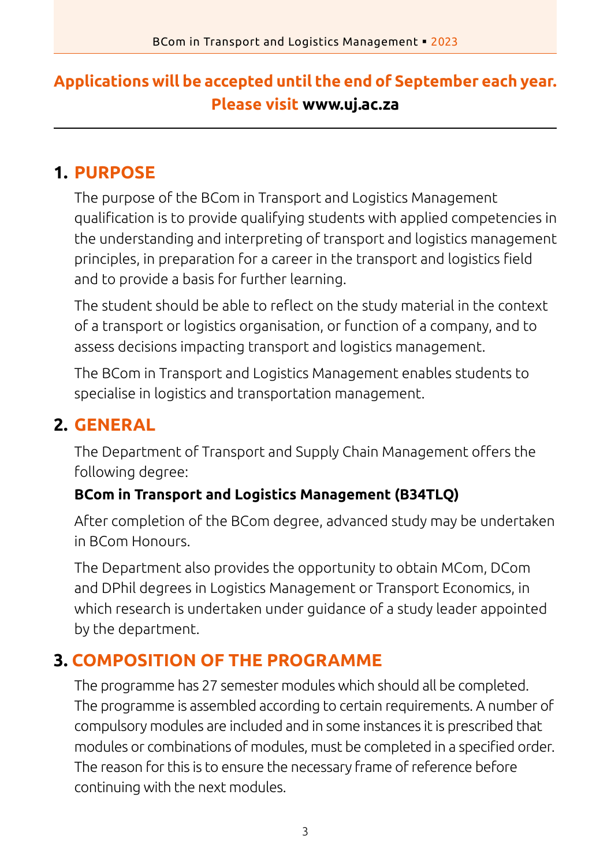# **Applications will be accepted until the end of September each year. Please visit www.uj.ac.za**

# **1. PURPOSE**

The purpose of the BCom in Transport and Logistics Management qualification is to provide qualifying students with applied competencies in the understanding and interpreting of transport and logistics management principles, in preparation for a career in the transport and logistics field and to provide a basis for further learning.

The student should be able to reflect on the study material in the context of a transport or logistics organisation, or function of a company, and to assess decisions impacting transport and logistics management.

The BCom in Transport and Logistics Management enables students to specialise in logistics and transportation management.

# **2. GENERAL**

The Department of Transport and Supply Chain Management offers the following degree:

#### **BCom in Transport and Logistics Management (B34TLQ)**

After completion of the BCom degree, advanced study may be undertaken in BCom Honours.

The Department also provides the opportunity to obtain MCom, DCom and DPhil degrees in Logistics Management or Transport Economics, in which research is undertaken under guidance of a study leader appointed by the department.

# **3. COMPOSITION OF THE PROGRAMME**

The programme has 27 semester modules which should all be completed. The programme is assembled according to certain requirements. A number of compulsory modules are included and in some instances it is prescribed that modules or combinations of modules, must be completed in a specified order. The reason for this is to ensure the necessary frame of reference before continuing with the next modules.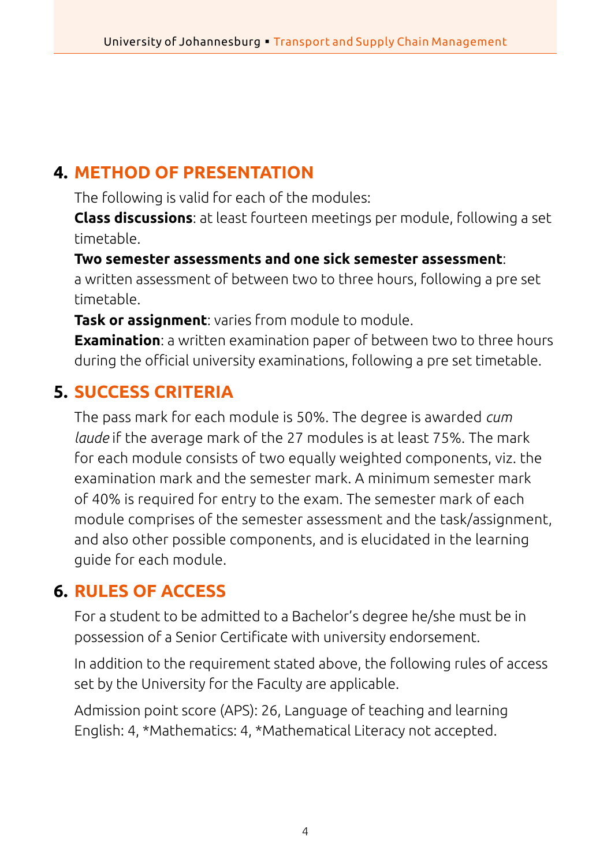#### **4. METHOD OF PRESENTATION**

The following is valid for each of the modules:

**Class discussions**: at least fourteen meetings per module, following a set timetable.

**Two semester assessments and one sick semester assessment**: a written assessment of between two to three hours, following a pre set timetable.

**Task or assignment**: varies from module to module.

**Examination**: a written examination paper of between two to three hours during the official university examinations, following a pre set timetable.

# **5. SUCCESS CRITERIA**

The pass mark for each module is 50%. The degree is awarded *cum laude* if the average mark of the 27 modules is at least 75%. The mark for each module consists of two equally weighted components, viz. the examination mark and the semester mark. A minimum semester mark of 40% is required for entry to the exam. The semester mark of each module comprises of the semester assessment and the task/assignment, and also other possible components, and is elucidated in the learning guide for each module.

# **6. RULES OF ACCESS**

For a student to be admitted to a Bachelor's degree he/she must be in possession of a Senior Certificate with university endorsement.

In addition to the requirement stated above, the following rules of access set by the University for the Faculty are applicable.

Admission point score (APS): 26, Language of teaching and learning English: 4, \*Mathematics: 4, \*Mathematical Literacy not accepted.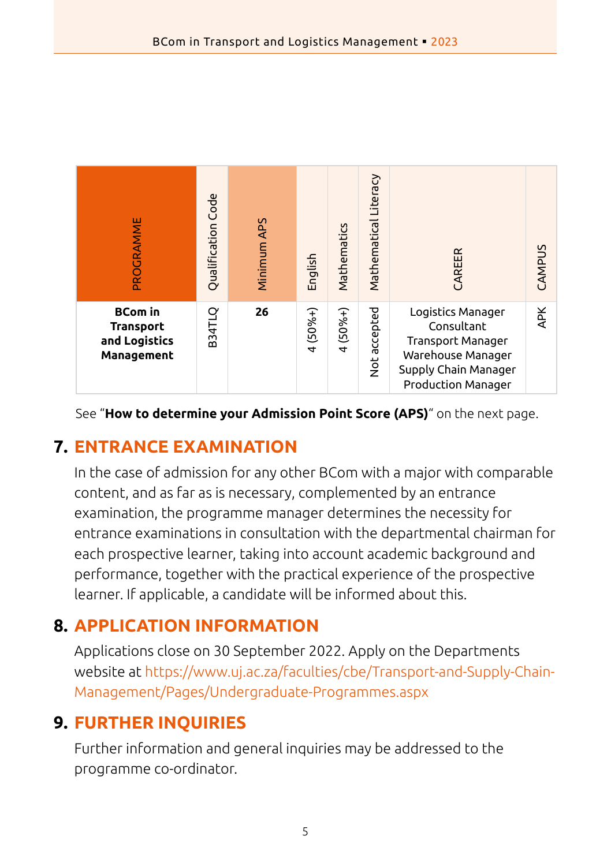| PROGRAMME                                                         | Code<br>Qualification | Minimum APS | English                     | Mathematics               | Mathematical Literacy | CAREER                                                                                                                                | CAMPUS     |
|-------------------------------------------------------------------|-----------------------|-------------|-----------------------------|---------------------------|-----------------------|---------------------------------------------------------------------------------------------------------------------------------------|------------|
| <b>BCom</b> in<br><b>Transport</b><br>and Logistics<br>Management | <b>B34TLQ</b>         | 26          | $(50% +)$<br>$\overline{a}$ | $(50% +)$<br>$\downarrow$ | Not accepted          | Logistics Manager<br>Consultant<br><b>Transport Manager</b><br>Warehouse Manager<br>Supply Chain Manager<br><b>Production Manager</b> | <b>APK</b> |

See "**How to determine your Admission Point Score (APS)**" on the next page.

# **7. ENTRANCE EXAMINATION**

In the case of admission for any other BCom with a major with comparable content, and as far as is necessary, complemented by an entrance examination, the programme manager determines the necessity for entrance examinations in consultation with the departmental chairman for each prospective learner, taking into account academic background and performance, together with the practical experience of the prospective learner. If applicable, a candidate will be informed about this.

# **8. APPLICATION INFORMATION**

Applications close on 30 September 2022. Apply on the Departments website at [https://www.uj.ac.za/faculties/cbe/Transport-and-Supply-Chain-](https://www.uj.ac.za/faculties/cbe/Transport-and-Supply-Chain-Management/Pages/Undergraduate-Programmes.aspx)[Management/Pages/Undergraduate-Programmes.aspx](https://www.uj.ac.za/faculties/cbe/Transport-and-Supply-Chain-Management/Pages/Undergraduate-Programmes.aspx)

# **9. FURTHER INQUIRIES**

Further information and general inquiries may be addressed to the programme co-ordinator.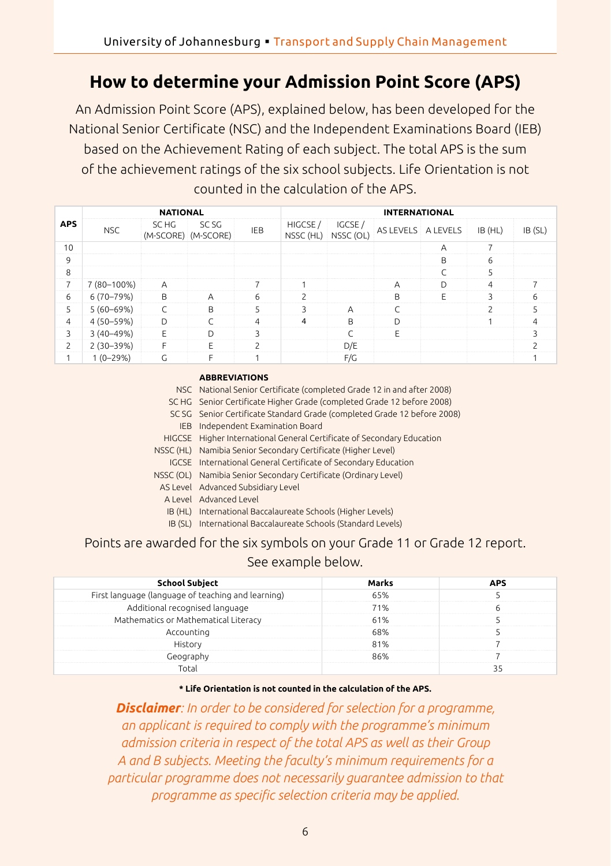# **How to determine your Admission Point Score (APS)**

An Admission Point Score (APS), explained below, has been developed for the National Senior Certificate (NSC) and the Independent Examinations Board (IEB) based on the Achievement Rating of each subject. The total APS is the sum of the achievement ratings of the six school subjects. Life Orientation is not counted in the calculation of the APS.

|                |               | <b>NATIONAL</b> |                              |            | <b>INTERNATIONAL</b> |                     |                    |   |         |               |  |
|----------------|---------------|-----------------|------------------------------|------------|----------------------|---------------------|--------------------|---|---------|---------------|--|
| <b>APS</b>     | <b>NSC</b>    | SC HG           | SC SG<br>(M-SCORE) (M-SCORE) | <b>IEB</b> | HIGCSE/<br>NSSC (HL) | IGCSE/<br>NSSC (OL) | AS LEVELS A LEVELS |   | IB (HL) | IB (SL)       |  |
| 10             |               |                 |                              |            |                      |                     |                    | A | 7       |               |  |
| 9              |               |                 |                              |            |                      |                     |                    | B | 6       |               |  |
| 8              |               |                 |                              |            |                      |                     |                    | C | 5       |               |  |
| $\overline{7}$ | 7 (80-100%)   | $\overline{A}$  |                              |            |                      |                     | A                  | D | 4       |               |  |
| 6              | $6(70-79%)$   | B               | $\overline{A}$               | 6          | $\mathcal{P}$        |                     | B                  | E | 3       | 6             |  |
| 5              | $5(60-69%)$   | C               | B                            | 5          | 3                    | $\overline{A}$      |                    |   |         |               |  |
| $\overline{4}$ | 4 (50-59%)    | D               |                              | 4          | $\overline{4}$       | B                   | D                  |   |         | 4             |  |
| 3              | $3(40 - 49%)$ | E               | D                            | 3          |                      | $\sqrt{2}$          | F                  |   |         | 3             |  |
| $\overline{c}$ | $2(30-39%)$   | F               | F                            | っ          |                      | D/E                 |                    |   |         | $\mathcal{D}$ |  |
| 1              | $1(0-29%)$    | G               | F                            |            |                      | F/G                 |                    |   |         |               |  |

#### **ABBREVIATIONS**

|            | NSC National Senior Certificate (completed Grade 12 in and after 2008)   |
|------------|--------------------------------------------------------------------------|
|            | SC HG Senior Certificate Higher Grade (completed Grade 12 before 2008)   |
|            | SC SG Senior Certificate Standard Grade (completed Grade 12 before 2008) |
| <b>IEB</b> | Independent Examination Board                                            |
|            | HIGCSE Higher International General Certificate of Secondary Education   |
| NSSC (HL)  | Namibia Senior Secondary Certificate (Higher Level)                      |
|            | IGCSE International General Certificate of Secondary Education           |
|            | NSSC (OL) Namibia Senior Secondary Certificate (Ordinary Level)          |
|            | AS Level Advanced Subsidiary Level                                       |
|            | A Level Advanced Level                                                   |
|            | IB (HL) International Baccalaureate Schools (Higher Levels)              |
| IB (SL)    | International Baccalaureate Schools (Standard Levels)                    |

#### Points are awarded for the six symbols on your Grade 11 or Grade 12 report. See example below.

| School Subject                                     | Marks | <b>APS</b> |
|----------------------------------------------------|-------|------------|
| First language (language of teaching and learning) | 65%   |            |
| Additional recognised language                     | 71%   |            |
| Mathematics or Mathematical Literacy               | 61%   |            |
| Accounting                                         | 68%   |            |
| History                                            | 81%   |            |
| Geography                                          | 86%   |            |
| Total                                              |       |            |

#### **\* Life Orientation is not counted in the calculation of the APS.**

*Disclaimer: In order to be considered for selection for a programme, an applicant is required to comply with the programme's minimum admission criteria in respect of the total APS as well as their Group A and B subjects. Meeting the faculty's minimum requirements for a particular programme does not necessarily guarantee admission to that programme as specific selection criteria may be applied.*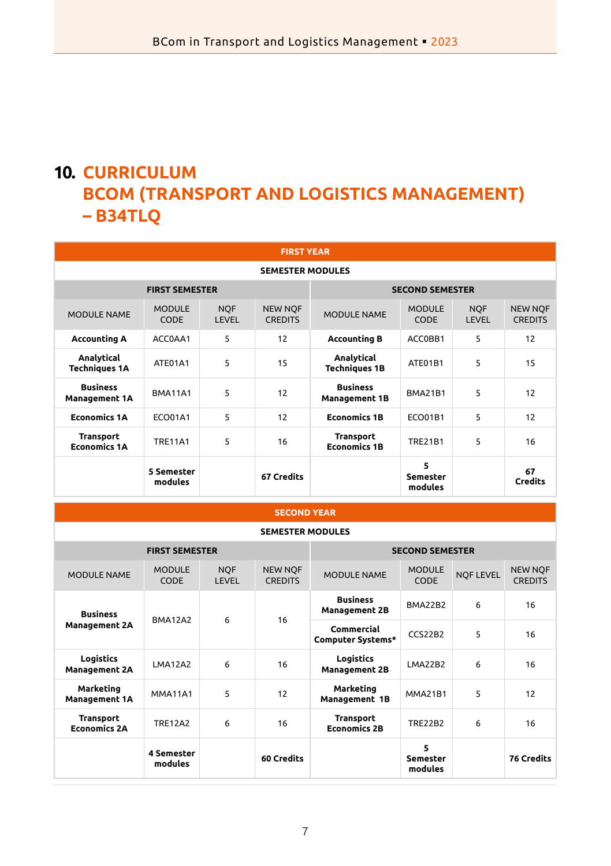# **10. CURRICULUM BCOM (TRANSPORT AND LOGISTICS MANAGEMENT) – B34TLQ**

| <b>FIRST YEAR</b>                               |                              |                     |                                  |                                         |                              |                     |                                  |  |
|-------------------------------------------------|------------------------------|---------------------|----------------------------------|-----------------------------------------|------------------------------|---------------------|----------------------------------|--|
| <b>SEMESTER MODULES</b>                         |                              |                     |                                  |                                         |                              |                     |                                  |  |
| <b>FIRST SEMESTER</b><br><b>SECOND SEMESTER</b> |                              |                     |                                  |                                         |                              |                     |                                  |  |
| <b>MODULE NAME</b>                              | <b>MODULE</b><br><b>CODE</b> | <b>NOF</b><br>LEVEL | <b>NEW NOF</b><br><b>CREDITS</b> | <b>MODULE NAME</b>                      | <b>MODULE</b><br><b>CODE</b> | <b>NOF</b><br>LEVEL | <b>NEW NOF</b><br><b>CREDITS</b> |  |
| <b>Accounting A</b>                             | ACC0AA1                      | 5                   | 12                               | <b>Accounting B</b>                     | ACC0BB1                      | 5                   | 12                               |  |
| Analytical<br><b>Techniques 1A</b>              | ATE01A1                      | 5                   | 15                               | Analytical<br><b>Techniques 1B</b>      | ATE01B1                      | 5                   | 15                               |  |
| <b>Business</b><br><b>Management 1A</b>         | <b>BMA11A1</b>               | 5                   | 12                               | <b>Business</b><br><b>Management 1B</b> | <b>BMA21B1</b>               | 5                   | 12                               |  |
| <b>Economics 1A</b>                             | <b>ECO01A1</b>               | 5                   | 12                               | <b>Economics 1B</b>                     | <b>ECO01B1</b>               | 5                   | 12                               |  |
| <b>Transport</b><br><b>Economics 1A</b>         | <b>TRE11A1</b>               | 5                   | 16                               | <b>Transport</b><br><b>Economics 1B</b> | <b>TRE21B1</b>               | 5                   | 16                               |  |
|                                                 | 5 Semester<br>modules        |                     | 67 Credits                       |                                         | 5<br>Semester<br>modules     |                     | 67<br><b>Credits</b>             |  |

#### **SECOND YEAR**

| <b>SEMESTER MODULES</b>                 |                       |                            |                                  |                                         |                                  |                  |                                  |  |
|-----------------------------------------|-----------------------|----------------------------|----------------------------------|-----------------------------------------|----------------------------------|------------------|----------------------------------|--|
|                                         | <b>FIRST SEMESTER</b> |                            | <b>SECOND SEMESTER</b>           |                                         |                                  |                  |                                  |  |
| <b>MODULE NAME</b>                      | <b>MODULE</b><br>CODE | <b>NOF</b><br><b>LEVEL</b> | <b>NEW NOF</b><br><b>CREDITS</b> | <b>MODULE NAME</b>                      | <b>MODULE</b><br><b>CODE</b>     | <b>NQF LEVEL</b> | <b>NEW NOF</b><br><b>CREDITS</b> |  |
| <b>Business</b><br><b>Management 2A</b> | <b>BMA12A2</b>        | 6                          | 16                               | <b>Business</b><br><b>Management 2B</b> | <b>BMA22B2</b>                   | 6                | 16                               |  |
|                                         |                       |                            |                                  | Commercial<br>Computer Systems*         | CCS22B2                          | 5                | 16                               |  |
| Logistics<br><b>Management 2A</b>       | <b>LMA12A2</b>        | 6                          | 16                               | Logistics<br><b>Management 2B</b>       | <b>LMA22B2</b>                   | 6                | 16                               |  |
| Marketing<br><b>Management 1A</b>       | <b>MMA11A1</b>        | 5                          | 12                               | Marketing<br>Management 1B              | MMA <sub>21</sub> R <sub>1</sub> | 5                | 12                               |  |
| <b>Transport</b><br><b>Economics 2A</b> | <b>TRE12A2</b>        | 6                          | 16                               | <b>Transport</b><br><b>Economics 2B</b> | <b>TRE22B2</b>                   | 6                | 16                               |  |
|                                         | 4 Semester<br>modules |                            | 60 Credits                       |                                         | 5<br><b>Semester</b><br>modules  |                  | <b>76 Credits</b>                |  |